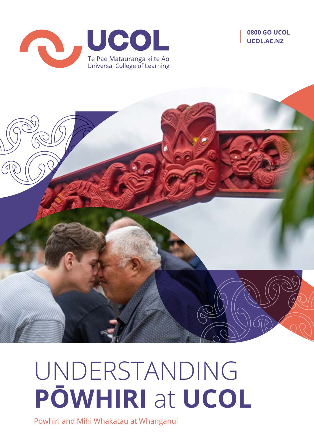





# UNDERSTANDING **PŌWHIRI** at **UCOL**

Pōwhiri and Mihi Whakatau at Whanganui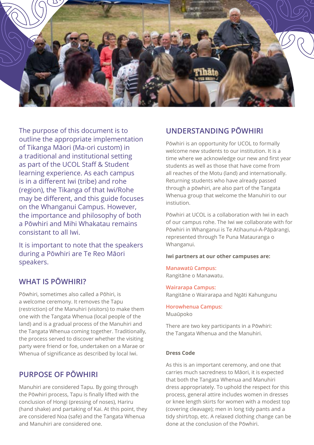

The purpose of this document is to outline the appropriate implementation of Tikanga Māori (Ma-ori custom) in a traditional and institutional setting as part of the UCOL Staff & Student learning experience. As each campus is in a different Iwi (tribe) and rohe (region), the Tikanga of that Iwi/Rohe may be different, and this guide focuses on the Whanganui Campus. However, the importance and philosophy of both a Pōwhiri and Mihi Whakatau remains consistant to all Iwi.

It is important to note that the speakers during a Pōwhiri are Te Reo Māori speakers.

### **WHAT IS PŌWHIRI?**

Pōwhiri, sometimes also called a Pōhiri, is a welcome ceremony. It removes the Tapu (restriction) of the Manuhiri (visitors) to make them one with the Tangata Whenua (local people of the land) and is a gradual process of the Manuhiri and the Tangata Whenua coming together. Traditionally, the process served to discover whether the visiting party were friend or foe, undertaken on a Marae or Whenua of significance as described by local Iwi.

## **PURPOSE OF PŌWHIRI**

Manuhiri are considered Tapu. By going through the Pōwhiri process, Tapu is finally lifted with the conclusion of Hongi (pressing of noses), Hariru (hand shake) and partaking of Kai. At this point, they are considered Noa (safe) and the Tangata Whenua and Manuhiri are considered one.

## **UNDERSTANDING PŌWHIRI**

Pōwhiri is an opportunity for UCOL to formally welcome new students to our institution. It is a time where we acknowledge our new and first year students as well as those that have come from all reaches of the Motu (land) and internationally. Returning students who have already passed through a pōwhiri, are also part of the Tangata Whenua group that welcome the Manuhiri to our instiution.

Pōwhiri at UCOL is a collaboration with Iwi in each of our campus rohe. The Iwi we collaborate with for Pōwhiri in Whanganui is Te Atihaunui-A-Pāpārangi, represented through Te Puna Matauranga o Whanganui.

#### **Iwi partners at our other campuses are:**

#### **Manawatū Campus:** Rangitāne o Manawatu.

#### **Wairarapa Campus:**

Rangitāne o Wairarapa and Ngāti Kahungunu

**Horowhenua Campus:** Muaūpoko

There are two key participants in a Pōwhiri: the Tangata Whenua and the Manuhiri.

#### **Dress Code**

As this is an important ceremony, and one that carries much sacredness to Māori, it is expected that both the Tangata Whenua and Manuhiri dress appropriately. To uphold the respect for this process, general attire includes women in dresses or knee length skirts for women with a modest top (covering cleavage); men in long tidy pants and a tidy shirt/top, etc. A relaxed clothing change can be done at the conclusion of the Pōwhiri.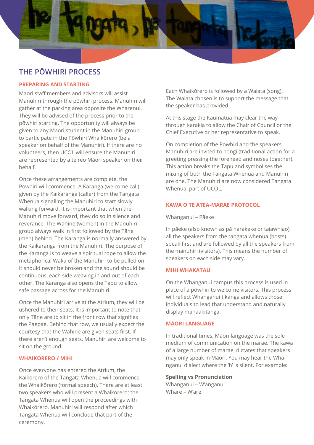

# **THE PŌWHIRI PROCESS**

#### **PREPARING AND STARTING**

Māori staff members and advisors will assist Manuhiri through the pōwhiri process. Manuhiri will gather at the parking area opposite the Wharenui. They will be advised of the process prior to the pōwhiri starting. The opportunity will always be given to any Māori student in the Manuhiri group to participate in the Pōwhiri Whaikōrero (be a speaker on behalf of the Manuhiri). If there are no volunteers, then UCOL will ensure the Manuhiri are represented by a te reo Māori speaker on their behalf.

Once these arrangements are complete, the Pōwhiri will commence. A Karanga (welcome call) given by the Kaikaranga (caller) from the Tangata Whenua signalling the Manuhiri to start slowly walking forward. It is important that when the Manuhiri move forward, they do so in silence and reverance. The Wāhine (women) in the Manuhiri group always walk in first followed by the Tāne (men) behind. The Karanga is normally answered by the Kaikaranga from the Manuhiri. The purpose of the Karanga is to weave a spiritual rope to allow the metaphorical Waka of the Manuhiri to be pulled on. It should never be broken and the sound should be continuous, each side weaving in and out of each other. The Karanga also opens the Tapu to allow safe passage across for the Manuhiri.

Once the Manuhiri arrive at the Atrium, they will be ushered to their seats. It is important to note that only Tāne are to sit in the front row that signifies the Paepae. Behind that row, we usually expect the courtesy that the Wāhine are given seats first. If there aren't enough seats, Manuhiri are welcome to sit on the ground.

#### **WHAIKORERO / MIHI**

Once everyone has entered the Atrium, the Kaikōrero of the Tangata Whenua will commence the Whaikōrero (formal speech). There are at least two speakers who will present a Whaikōrero; the Tangata Whenua will open the proceedings with Whaikōrero. Manuhiri will respond after which Tangata Whenua will conclude that part of the ceremony.

Each Whaikōrero is followed by a Waiata (song). The Waiata chosen is to support the message that the speaker has provided.

At this stage the Kaumatua may clear the way through karakia to allow the Chair of Council or the Chief Executive or her representative to speak.

On completion of the Pōwhiri and the speakers, Manuhiri are invited to hongi (traditional action for a greeting pressing the forehead and noses together). This action breaks the Tapu and symbolises the mixing of both the Tangata Whenua and Manuhiri are one. The Manuhiri are now considered Tangata Whenua, part of UCOL.

#### **KAWA O TE ATEA-MARAE PROTOCOL**

Whanganui – Pāeke

In pāeke (also known as pā harakeke or taiawhiao) all the speakers from the tangata whenua (hosts) speak first and are followed by all the speakers from the manuhiri (visitors). This means the number of speakers on each side may vary.

#### **MIHI WHAKATAU**

On the Whanganui campus this process is used in place of a pōwhiri to welcome visitors. This process will reflect Whanganui tikanga and allows those individuals to lead that understand and naturally display manaakitanga.

#### **MĀORI LANGUAGE**

In traditional times, Māori language was the sole medium of communication on the marae. The kawa of a large number of marae, dictates that speakers may only speak in Māori. You may hear the Whanganui dialect where the 'h' is silent. For example:

**Spelling vs Pronunciation** Whanganui – W'anganui Whare – W'are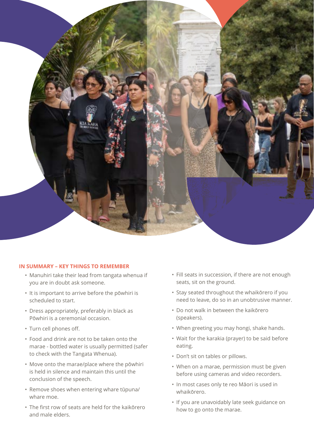

#### **IN SUMMARY – KEY THINGS TO REMEMBER**

- Manuhiri take their lead from tangata whenua if you are in doubt ask someone.
- It is important to arrive before the pōwhiri is scheduled to start.
- Dress appropriately, preferably in black as Pōwhiri is a ceremonial occasion.
- Turn cell phones off.
- Food and drink are not to be taken onto the marae - bottled water is usually permitted (safer to check with the Tangata Whenua).
- Move onto the marae/place where the pōwhiri is held in silence and maintain this until the conclusion of the speech.
- Remove shoes when entering whare tūpuna/ whare moe.
- The first row of seats are held for the kaikōrero and male elders.
- Fill seats in succession, if there are not enough seats, sit on the ground.
- Stay seated throughout the whaikōrero if you need to leave, do so in an unobtrusive manner.
- Do not walk in between the kaikōrero (speakers).
- When greeting you may hongi, shake hands.
- Wait for the karakia (prayer) to be said before eating.
- Don't sit on tables or pillows.
- When on a marae, permission must be given before using cameras and video recorders.
- In most cases only te reo Māori is used in whaikōrero.
- If you are unavoidably late seek guidance on how to go onto the marae.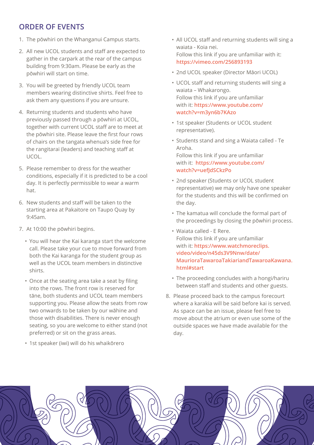# **ORDER OF EVENTS**

- 1. The pōwhiri on the Whanganui Campus starts.
- 2. All new UCOL students and staff are expected to gather in the carpark at the rear of the campus building from 9:30am. Please be early as the pōwhiri will start on time.
- 3. You will be greeted by friendly UCOL team members wearing distinctive shirts. Feel free to ask them any questions if you are unsure.
- 4. Returning students and students who have previously passed through a pōwhiri at UCOL, together with current UCOL staff are to meet at the pōwhiri site. Please leave the first four rows of chairs on the tangata whenua's side free for the rangitarai (leaders) and teaching staff at UCOL.
- 5. Please remember to dress for the weather conditions, especially if it is predicted to be a cool day. It is perfectly permissible to wear a warm hat.
- 6. New students and staff will be taken to the starting area at Pakaitore on Taupo Quay by 9:45am.
- 7. At 10:00 the pōwhiri begins.
	- You will hear the Kai karanga start the welcome call. Please take your cue to move forward from both the Kai karanga for the student group as well as the UCOL team members in distinctive shirts.
	- Once at the seating area take a seat by filing into the rows. The front row is reserved for tāne, both students and UCOL team members supporting you. Please allow the seats from row two onwards to be taken by our wāhine and those with disabilities. There is never enough seating, so you are welcome to either stand (not preferred) or sit on the grass areas.
	- 1st speaker (iwi) will do his whaikōrero
- All UCOL staff and returning students will sing a waiata - Koia nei. Follow this link if you are unfamiliar with it: **[https://vimeo.com/256893193](https://vimeo.com/256893193 
)**
- 2nd UCOL speaker (Director Māori UCOL)
- UCOL staff and returning students will sing a waiata – Whakarongo. Follow this link if you are unfamiliar with it: **[https://www.youtube.com/](https://www.youtube.com/watch?v=m3yn6b7KAzo) [watch?v=m3yn6b7KAzo](https://www.youtube.com/watch?v=m3yn6b7KAzo)**
- 1st speaker (Students or UCOL student representative).
- Students stand and sing a Waiata called Te Aroha. Follow this link if you are unfamiliar with it: **[https://www.youtube.com/](https://www.youtube.com/watch?v=uefJdSCkzPo) [watch?v=uefJdSCkzPo](https://www.youtube.com/watch?v=uefJdSCkzPo)**
- 2nd speaker (Students or UCOL student representative) we may only have one speaker for the students and this will be confirmed on the day.
- The kamatua will conclude the formal part of the proceedings by closing the pōwhiri process.
- Waiata called E Rere. Follow this link if you are unfamiliar with it: **[https://www.watchmoreclips.](https://www.watchmoreclips.video/video/n45ds3V9Nnw/date/MaurioraTawaroaTakiariandTawaroaKawana.html#start) [video/video/n45ds3V9Nnw/date/](https://www.watchmoreclips.video/video/n45ds3V9Nnw/date/MaurioraTawaroaTakiariandTawaroaKawana.html#start) [MaurioraTawaroaTakiariandTawaroaKawana.](https://www.watchmoreclips.video/video/n45ds3V9Nnw/date/MaurioraTawaroaTakiariandTawaroaKawana.html#start) [html#start](https://www.watchmoreclips.video/video/n45ds3V9Nnw/date/MaurioraTawaroaTakiariandTawaroaKawana.html#start)**
- The proceeding concludes with a hongi/hariru between staff and students and other guests.
- 8. Please proceed back to the campus forecourt where a karakia will be said before kai is served. As space can be an issue, please feel free to move about the atrium or even use some of the outside spaces we have made available for the day.